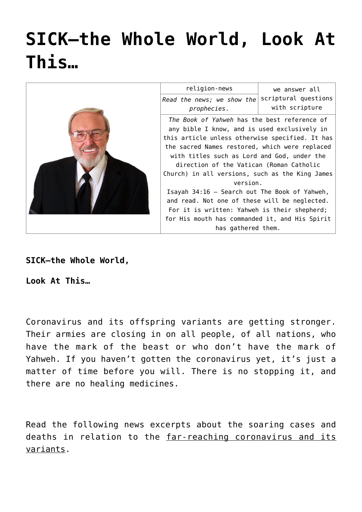# **[SICK—the Whole World, Look At](https://yahwehsbranch.com/sick-the-whole-world-look-at-this/) [This…](https://yahwehsbranch.com/sick-the-whole-world-look-at-this/)**



**SICK—the Whole World,**

**Look At This…**

Coronavirus and its offspring variants are getting stronger. Their armies are closing in on all people, of all nations, who have the mark of the beast or who don't have the mark of Yahweh. If you haven't gotten the coronavirus yet, it's just a matter of time before you will. There is no stopping it, and there are no healing medicines.

Read the following news excerpts about the soaring cases and deaths in relation to the far-reaching coronavirus and its variants.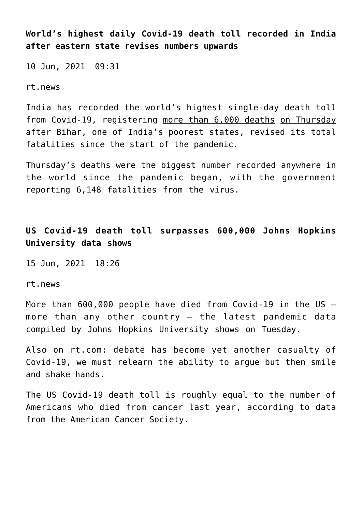**World's highest daily Covid-19 death toll recorded in India after eastern state revises numbers upwards**

10 Jun, 2021 09:31

rt.news

India has recorded the world's highest single-day death toll from Covid-19, registering more than 6,000 deaths on Thursday after Bihar, one of India's poorest states, revised its total fatalities since the start of the pandemic.

Thursday's deaths were the biggest number recorded anywhere in the world since the pandemic began, with the government reporting 6,148 fatalities from the virus.

**US Covid-19 death toll surpasses 600,000 Johns Hopkins University data shows**

15 Jun, 2021 18:26

rt.news

More than 600,000 people have died from Covid-19 in the US – more than any other country – the latest pandemic data compiled by Johns Hopkins University shows on Tuesday.

Also on rt.com: debate has become yet another casualty of Covid-19, we must relearn the ability to argue but then smile and shake hands.

The US Covid-19 death toll is roughly equal to the number of Americans who died from cancer last year, according to data from the American Cancer Society.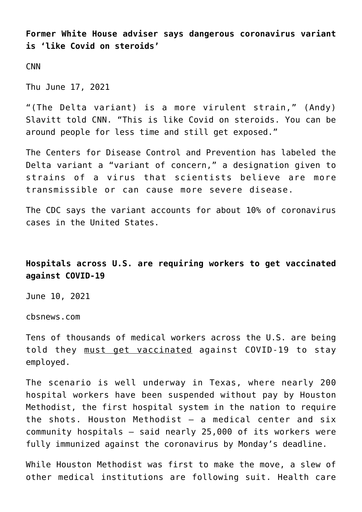**Former White House adviser says dangerous coronavirus variant is 'like Covid on steroids'**

CNN

Thu June 17, 2021

"(The Delta variant) is a more virulent strain," (Andy) Slavitt told CNN. "This is like Covid on steroids. You can be around people for less time and still get exposed."

The Centers for Disease Control and Prevention has labeled the Delta variant a "variant of concern," a designation given to strains of a virus that scientists believe are more transmissible or can cause more severe disease.

The CDC says the variant accounts for about 10% of coronavirus cases in the United States.

# **Hospitals across U.S. are requiring workers to get vaccinated against COVID-19**

June 10, 2021

cbsnews.com

Tens of thousands of medical workers across the U.S. are being told they must get vaccinated against COVID-19 to stay employed.

The scenario is well underway in Texas, where nearly 200 hospital workers have been suspended without pay by Houston Methodist, the first hospital system in the nation to require the shots. Houston Methodist – a medical center and six community hospitals – said nearly 25,000 of its workers were fully immunized against the coronavirus by Monday's deadline.

While Houston Methodist was first to make the move, a slew of other medical institutions are following suit. Health care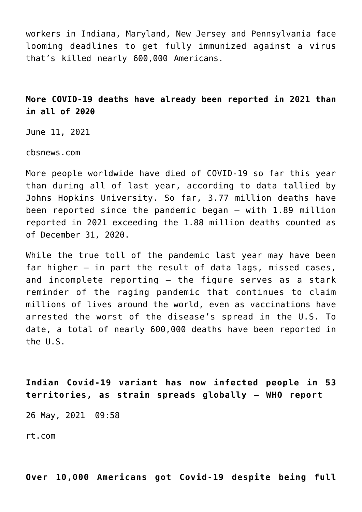workers in Indiana, Maryland, New Jersey and Pennsylvania face looming deadlines to get fully immunized against a virus that's killed nearly 600,000 Americans.

# **More COVID-19 deaths have already been reported in 2021 than in all of 2020**

June 11, 2021

cbsnews.com

More people worldwide have died of COVID-19 so far this year than during all of last year, according to data tallied by Johns Hopkins University. So far, 3.77 million deaths have been reported since the pandemic began – with 1.89 million reported in 2021 exceeding the 1.88 million deaths counted as of December 31, 2020.

While the true toll of the pandemic last year may have been far higher – in part the result of data lags, missed cases, and incomplete reporting – the figure serves as a stark reminder of the raging pandemic that continues to claim millions of lives around the world, even as vaccinations have arrested the worst of the disease's spread in the U.S. To date, a total of nearly 600,000 deaths have been reported in the U.S.

**Indian Covid-19 variant has now infected people in 53 territories, as strain spreads globally – WHO report**

26 May, 2021 09:58

rt.com

**Over 10,000 Americans got Covid-19 despite being full**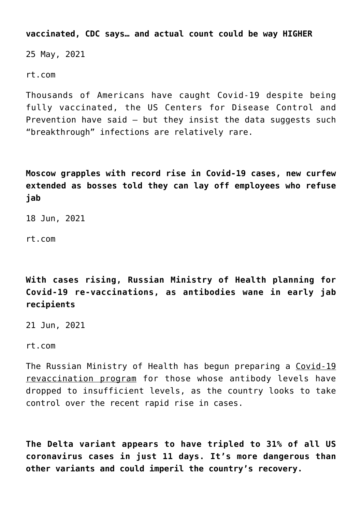**vaccinated, CDC says… and actual count could be way HIGHER**

25 May, 2021

rt.com

Thousands of Americans have caught Covid-19 despite being fully vaccinated, the US Centers for Disease Control and Prevention have said  $-$  but they insist the data suggests such "breakthrough" infections are relatively rare.

**Moscow grapples with record rise in Covid-19 cases, new curfew extended as bosses told they can lay off employees who refuse jab**

18 Jun, 2021

rt.com

**With cases rising, Russian Ministry of Health planning for Covid-19 re-vaccinations, as antibodies wane in early jab recipients**

21 Jun, 2021

rt.com

The Russian Ministry of Health has begun preparing a Covid-19 revaccination program for those whose antibody levels have dropped to insufficient levels, as the country looks to take control over the recent rapid rise in cases.

**The Delta variant appears to have tripled to 31% of all US coronavirus cases in just 11 days. It's more dangerous than other variants and could imperil the country's recovery.**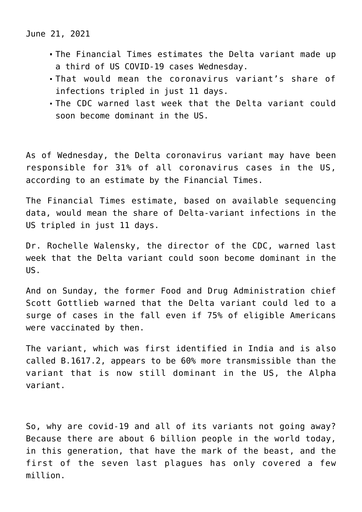June 21, 2021

- The Financial Times estimates the Delta variant made up a third of US COVID-19 cases Wednesday.
- That would mean the coronavirus variant's share of infections tripled in just 11 days.
- The CDC warned last week that the Delta variant could soon become dominant in the US.

As of Wednesday, the Delta coronavirus variant may have been responsible for 31% of all coronavirus cases in the US, according to an estimate by the Financial Times.

The Financial Times estimate, based on available sequencing data, would mean the share of Delta-variant infections in the US tripled in just 11 days.

Dr. Rochelle Walensky, the director of the CDC, warned last week that the Delta variant could soon become dominant in the  $\overline{115}$ .

And on Sunday, the former Food and Drug Administration chief Scott Gottlieb warned that the Delta variant could led to a surge of cases in the fall even if 75% of eligible Americans were vaccinated by then.

The variant, which was first identified in India and is also called B.1617.2, appears to be 60% more transmissible than the variant that is now still dominant in the US, the Alpha variant.

So, why are covid-19 and all of its variants not going away? Because there are about 6 billion people in the world today, in this generation, that have the mark of the beast, and the first of the seven last plagues has only covered a few million.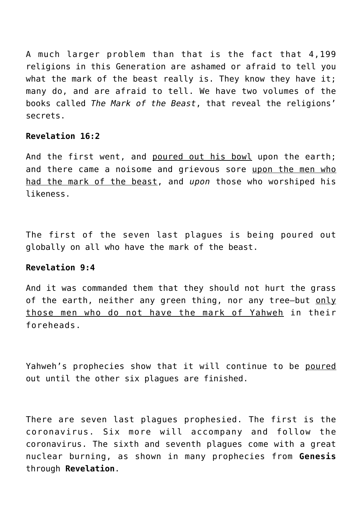A much larger problem than that is the fact that 4,199 religions in this Generation are ashamed or afraid to tell you what the mark of the beast really is. They know they have it; many do, and are afraid to tell. We have two volumes of the books called *The Mark of the Beast*, that reveal the religions' secrets.

## **Revelation 16:2**

And the first went, and poured out his bowl upon the earth; and there came a noisome and grievous sore upon the men who had the mark of the beast, and *upon* those who worshiped his likeness.

The first of the seven last plagues is being poured out globally on all who have the mark of the beast.

# **Revelation 9:4**

And it was commanded them that they should not hurt the grass of the earth, neither any green thing, nor any tree—but only those men who do not have the mark of Yahweh in their foreheads.

Yahweh's prophecies show that it will continue to be poured out until the other six plagues are finished.

There are seven last plagues prophesied. The first is the coronavirus. Six more will accompany and follow the coronavirus. The sixth and seventh plagues come with a great nuclear burning, as shown in many prophecies from **Genesis** through **Revelation**.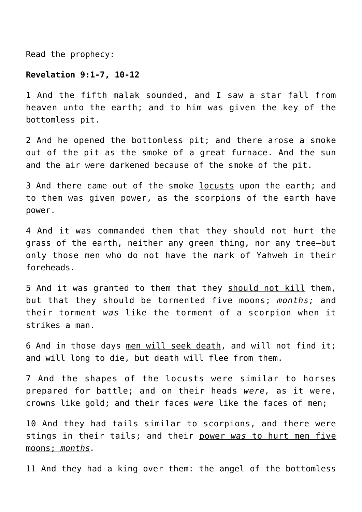Read the prophecy:

#### **Revelation 9:1-7, 10-12**

1 And the fifth malak sounded, and I saw a star fall from heaven unto the earth; and to him was given the key of the bottomless pit.

2 And he opened the bottomless pit; and there arose a smoke out of the pit as the smoke of a great furnace. And the sun and the air were darkened because of the smoke of the pit.

3 And there came out of the smoke locusts upon the earth; and to them was given power, as the scorpions of the earth have power.

4 And it was commanded them that they should not hurt the grass of the earth, neither any green thing, nor any tree—but only those men who do not have the mark of Yahweh in their foreheads.

5 And it was granted to them that they should not kill them, but that they should be tormented five moons; *months;* and their torment *was* like the torment of a scorpion when it strikes a man.

6 And in those days men will seek death, and will not find it; and will long to die, but death will flee from them.

7 And the shapes of the locusts were similar to horses prepared for battle; and on their heads *were,* as it were, crowns like gold; and their faces *were* like the faces of men;

10 And they had tails similar to scorpions, and there were stings in their tails; and their power *was* to hurt men five moons; *months.*

11 And they had a king over them: the angel of the bottomless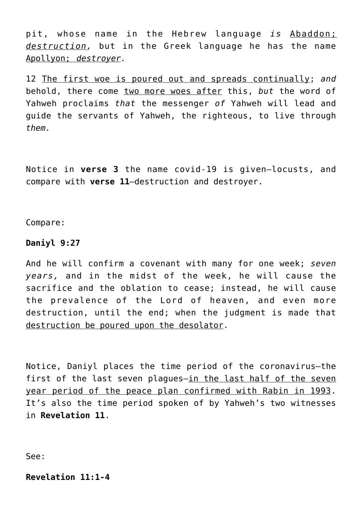pit, whose name in the Hebrew language *is* Abaddon; *destruction,* but in the Greek language he has the name Apollyon; *destroyer.*

12 The first woe is poured out and spreads continually; *and* behold, there come two more woes after this, *but* the word of Yahweh proclaims *that* the messenger *of* Yahweh will lead and guide the servants of Yahweh, the righteous, to live through *them.*

Notice in **verse 3** the name covid-19 is given—locusts, and compare with **verse 11**—destruction and destroyer.

Compare:

## **Daniyl 9:27**

And he will confirm a covenant with many for one week; *seven years,* and in the midst of the week, he will cause the sacrifice and the oblation to cease; instead, he will cause the prevalence of the Lord of heaven, and even more destruction, until the end; when the judgment is made that destruction be poured upon the desolator.

Notice, Daniyl places the time period of the coronavirus—the first of the last seven plagues-in the last half of the seven year period of the peace plan confirmed with Rabin in 1993. It's also the time period spoken of by Yahweh's two witnesses in **Revelation 11**.

See:

**Revelation 11:1-4**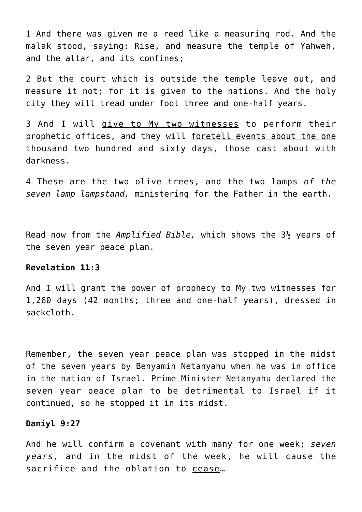1 And there was given me a reed like a measuring rod. And the malak stood, saying: Rise, and measure the temple of Yahweh, and the altar, and its confines;

2 But the court which is outside the temple leave out, and measure it not; for it is given to the nations. And the holy city they will tread under foot three and one-half years.

3 And I will give to My two witnesses to perform their prophetic offices, and they will foretell events about the one thousand two hundred and sixty days, those cast about with darkness.

4 These are the two olive trees, and the two lamps *of the seven lamp lampstand,* ministering for the Father in the earth.

Read now from the *Amplified Bible,* which shows the 3½ years of the seven year peace plan.

# **Revelation 11:3**

And I will grant the power of prophecy to My two witnesses for 1,260 days (42 months; three and one-half years), dressed in sackcloth.

Remember, the seven year peace plan was stopped in the midst of the seven years by Benyamin Netanyahu when he was in office in the nation of Israel. Prime Minister Netanyahu declared the seven year peace plan to be detrimental to Israel if it continued, so he stopped it in its midst.

#### **Daniyl 9:27**

And he will confirm a covenant with many for one week; *seven years,* and in the midst of the week, he will cause the sacrifice and the oblation to cease…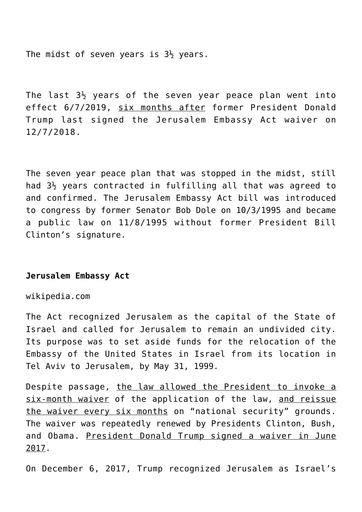The midst of seven years is  $3\frac{1}{2}$  years.

The last  $3\frac{1}{2}$  years of the seven year peace plan went into effect 6/7/2019, six months after former President Donald Trump last signed the Jerusalem Embassy Act waiver on 12/7/2018.

The seven year peace plan that was stopped in the midst, still had  $3\frac{1}{2}$  years contracted in fulfilling all that was agreed to and confirmed. The Jerusalem Embassy Act bill was introduced to congress by former Senator Bob Dole on 10/3/1995 and became a public law on 11/8/1995 without former President Bill Clinton's signature.

## **Jerusalem Embassy Act**

wikipedia.com

The Act recognized Jerusalem as the capital of the State of Israel and called for Jerusalem to remain an undivided city. Its purpose was to set aside funds for the relocation of the Embassy of the United States in Israel from its location in Tel Aviv to Jerusalem, by May 31, 1999.

Despite passage, the law allowed the President to invoke a six-month waiver of the application of the law, and reissue the waiver every six months on "national security" grounds. The waiver was repeatedly renewed by Presidents Clinton, Bush, and Obama. President Donald Trump signed a waiver in June 2017.

On December 6, 2017, Trump recognized Jerusalem as Israel's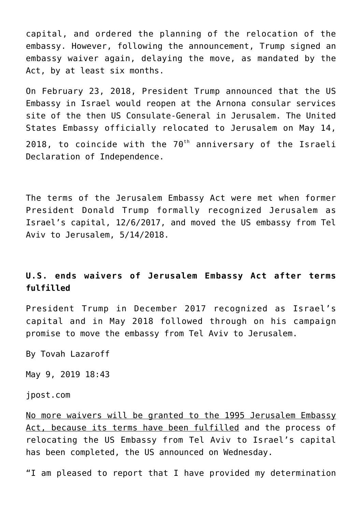capital, and ordered the planning of the relocation of the embassy. However, following the announcement, Trump signed an embassy waiver again, delaying the move, as mandated by the Act, by at least six months.

On February 23, 2018, President Trump announced that the US Embassy in Israel would reopen at the Arnona consular services site of the then US Consulate-General in Jerusalem. The United States Embassy officially relocated to Jerusalem on May 14, 2018, to coincide with the  $70<sup>th</sup>$  anniversary of the Israeli Declaration of Independence.

The terms of the Jerusalem Embassy Act were met when former President Donald Trump formally recognized Jerusalem as Israel's capital, 12/6/2017, and moved the US embassy from Tel Aviv to Jerusalem, 5/14/2018.

# **U.S. ends waivers of Jerusalem Embassy Act after terms fulfilled**

President Trump in December 2017 recognized as Israel's capital and in May 2018 followed through on his campaign promise to move the embassy from Tel Aviv to Jerusalem.

By Tovah Lazaroff

May 9, 2019 18:43

jpost.com

No more waivers will be granted to the 1995 Jerusalem Embassy Act, because its terms have been fulfilled and the process of relocating the US Embassy from Tel Aviv to Israel's capital has been completed, the US announced on Wednesday.

"I am pleased to report that I have provided my determination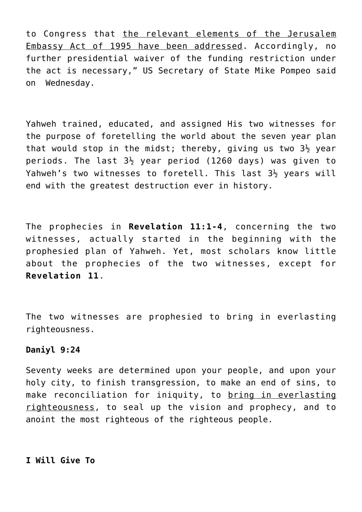to Congress that the relevant elements of the Jerusalem Embassy Act of 1995 have been addressed. Accordingly, no further presidential waiver of the funding restriction under the act is necessary," US Secretary of State Mike Pompeo said on Wednesday.

Yahweh trained, educated, and assigned His two witnesses for the purpose of foretelling the world about the seven year plan that would stop in the midst; thereby, giving us two  $3\frac{1}{2}$  year periods. The last  $3\frac{1}{2}$  year period (1260 days) was given to Yahweh's two witnesses to foretell. This last 3½ years will end with the greatest destruction ever in history.

The prophecies in **Revelation 11:1-4**, concerning the two witnesses, actually started in the beginning with the prophesied plan of Yahweh. Yet, most scholars know little about the prophecies of the two witnesses, except for **Revelation 11**.

The two witnesses are prophesied to bring in everlasting righteousness.

## **Daniyl 9:24**

Seventy weeks are determined upon your people, and upon your holy city, to finish transgression, to make an end of sins, to make reconciliation for iniquity, to bring in everlasting righteousness, to seal up the vision and prophecy, and to anoint the most righteous of the righteous people.

**I Will Give To**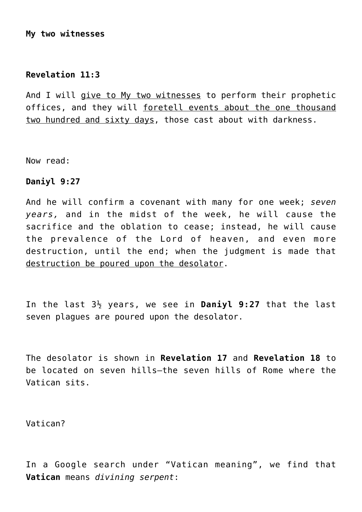# **My two witnesses**

# **Revelation 11:3**

And I will give to My two witnesses to perform their prophetic offices, and they will foretell events about the one thousand two hundred and sixty days, those cast about with darkness.

Now read:

## **Daniyl 9:27**

And he will confirm a covenant with many for one week; *seven years,* and in the midst of the week, he will cause the sacrifice and the oblation to cease; instead, he will cause the prevalence of the Lord of heaven, and even more destruction, until the end; when the judgment is made that destruction be poured upon the desolator.

In the last 3½ years, we see in **Daniyl 9:27** that the last seven plagues are poured upon the desolator.

The desolator is shown in **Revelation 17** and **Revelation 18** to be located on seven hills—the seven hills of Rome where the Vatican sits.

Vatican?

In a Google search under "Vatican meaning", we find that **Vatican** means *divining serpent*: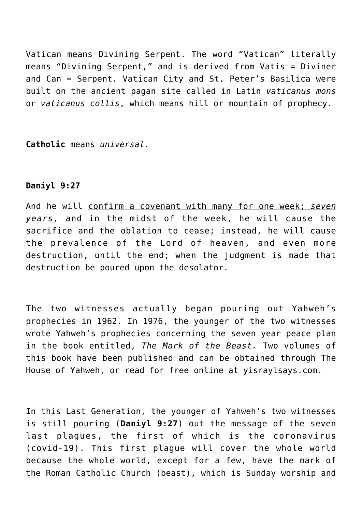Vatican means Divining Serpent. The word "Vatican" literally means "Divining Serpent," and is derived from Vatis = Diviner and Can = Serpent. Vatican City and St. Peter's Basilica were built on the ancient pagan site called in Latin *vaticanus mons* or *vaticanus collis*, which means hill or mountain of prophecy.

**Catholic** means *universal*.

# **Daniyl 9:27**

And he will confirm a covenant with many for one week; *seven years,* and in the midst of the week, he will cause the sacrifice and the oblation to cease; instead, he will cause the prevalence of the Lord of heaven, and even more destruction, until the end; when the judgment is made that destruction be poured upon the desolator.

The two witnesses actually began pouring out Yahweh's prophecies in 1962. In 1976, the younger of the two witnesses wrote Yahweh's prophecies concerning the seven year peace plan in the book entitled, *The Mark of the Beast.* Two volumes of this book have been published and can be obtained through The House of Yahweh, or read for free online at yisraylsays.com.

In this Last Generation, the younger of Yahweh's two witnesses is still pouring (**Daniyl 9:27**) out the message of the seven last plagues, the first of which is the coronavirus (covid-19). This first plague will cover the whole world because the whole world, except for a few, have the mark of the Roman Catholic Church (beast), which is Sunday worship and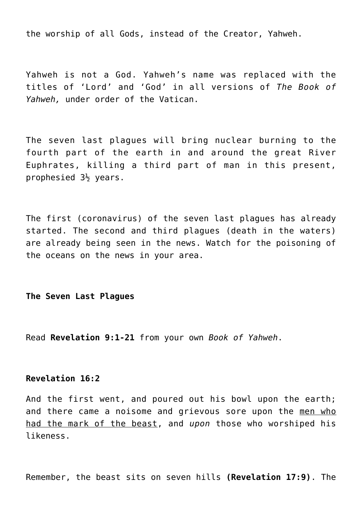the worship of all Gods, instead of the Creator, Yahweh.

Yahweh is not a God. Yahweh's name was replaced with the titles of 'Lord' and 'God' in all versions of *The Book of Yahweh,* under order of the Vatican.

The seven last plagues will bring nuclear burning to the fourth part of the earth in and around the great River Euphrates, killing a third part of man in this present, prophesied  $3\frac{1}{2}$  years.

The first (coronavirus) of the seven last plagues has already started. The second and third plagues (death in the waters) are already being seen in the news. Watch for the poisoning of the oceans on the news in your area.

**The Seven Last Plagues**

Read **Revelation 9:1-21** from your own *Book of Yahweh*.

# **Revelation 16:2**

And the first went, and poured out his bowl upon the earth; and there came a noisome and grievous sore upon the men who had the mark of the beast, and *upon* those who worshiped his likeness.

Remember, the beast sits on seven hills **(Revelation 17:9)**. The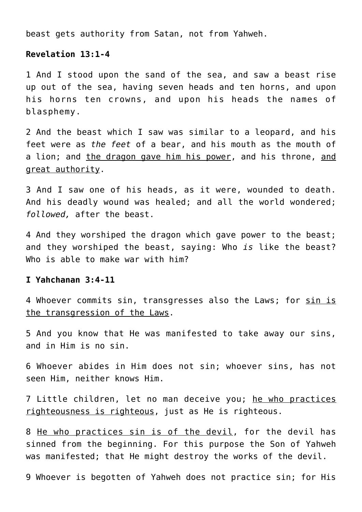beast gets authority from Satan, not from Yahweh.

## **Revelation 13:1-4**

1 And I stood upon the sand of the sea, and saw a beast rise up out of the sea, having seven heads and ten horns, and upon his horns ten crowns, and upon his heads the names of blasphemy.

2 And the beast which I saw was similar to a leopard, and his feet were as *the feet* of a bear, and his mouth as the mouth of a lion; and the dragon gave him his power, and his throne, and great authority.

3 And I saw one of his heads, as it were, wounded to death. And his deadly wound was healed; and all the world wondered; *followed,* after the beast.

4 And they worshiped the dragon which gave power to the beast; and they worshiped the beast, saying: Who *is* like the beast? Who is able to make war with him?

## **I Yahchanan 3:4-11**

4 Whoever commits sin, transgresses also the Laws; for sin is the transgression of the Laws.

5 And you know that He was manifested to take away our sins, and in Him is no sin.

6 Whoever abides in Him does not sin; whoever sins, has not seen Him, neither knows Him.

7 Little children, let no man deceive you; he who practices righteousness is righteous, just as He is righteous.

8 He who practices sin is of the devil, for the devil has sinned from the beginning. For this purpose the Son of Yahweh was manifested; that He might destroy the works of the devil.

9 Whoever is begotten of Yahweh does not practice sin; for His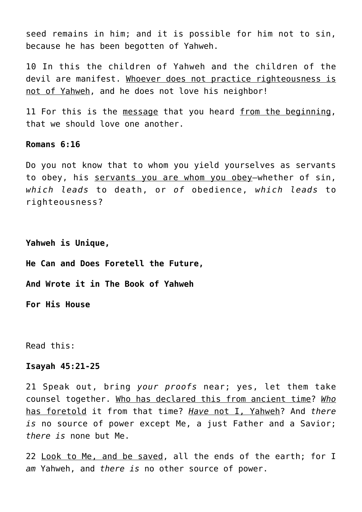seed remains in him; and it is possible for him not to sin, because he has been begotten of Yahweh.

10 In this the children of Yahweh and the children of the devil are manifest. Whoever does not practice righteousness is not of Yahweh, and he does not love his neighbor!

11 For this is the message that you heard from the beginning, that we should love one another.

## **Romans 6:16**

Do you not know that to whom you yield yourselves as servants to obey, his servants you are whom you obey—whether of sin, *which leads* to death, or *of* obedience, *which leads* to righteousness?

**Yahweh is Unique,**

**He Can and Does Foretell the Future,**

**And Wrote it in The Book of Yahweh**

**For His House**

Read this:

#### **Isayah 45:21-25**

21 Speak out, bring *your proofs* near; yes, let them take counsel together. Who has declared this from ancient time? *Who* has foretold it from that time? *Have* not I, Yahweh? And *there is* no source of power except Me, a just Father and a Savior; *there is* none but Me.

22 Look to Me, and be saved, all the ends of the earth; for I *am* Yahweh, and *there is* no other source of power.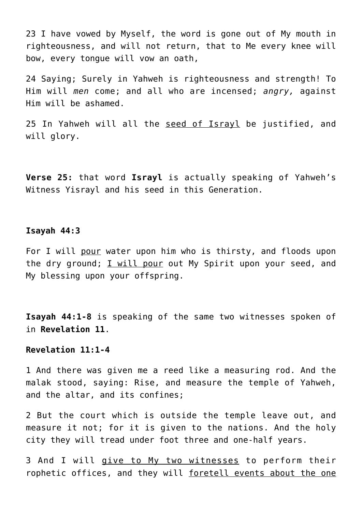23 I have vowed by Myself, the word is gone out of My mouth in righteousness, and will not return, that to Me every knee will bow, every tongue will vow an oath,

24 Saying; Surely in Yahweh is righteousness and strength! To Him will *men* come; and all who are incensed; *angry,* against Him will be ashamed.

25 In Yahweh will all the seed of Israyl be justified, and will alory.

**Verse 25:** that word **Israyl** is actually speaking of Yahweh's Witness Yisrayl and his seed in this Generation.

# **Isayah 44:3**

For I will pour water upon him who is thirsty, and floods upon the dry ground; I will pour out My Spirit upon your seed, and My blessing upon your offspring.

**Isayah 44:1-8** is speaking of the same two witnesses spoken of in **Revelation 11**.

# **Revelation 11:1-4**

1 And there was given me a reed like a measuring rod. And the malak stood, saying: Rise, and measure the temple of Yahweh, and the altar, and its confines;

2 But the court which is outside the temple leave out, and measure it not; for it is given to the nations. And the holy city they will tread under foot three and one-half years.

3 And I will give to My two witnesses to perform their rophetic offices, and they will <u>foretell events about the one</u>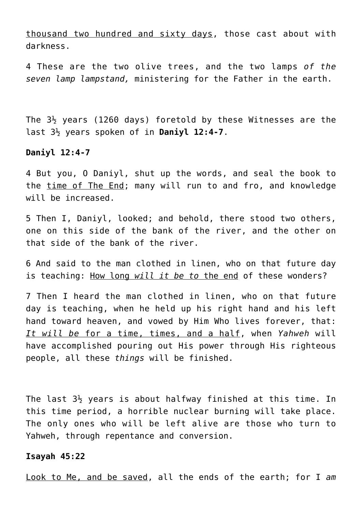thousand two hundred and sixty days, those cast about with darkness.

4 These are the two olive trees, and the two lamps *of the seven lamp lampstand,* ministering for the Father in the earth.

The  $3\frac{1}{2}$  years (1260 days) foretold by these Witnesses are the last 3½ years spoken of in **Daniyl 12:4-7**.

## **Daniyl 12:4-7**

4 But you, O Daniyl, shut up the words, and seal the book to the time of The End; many will run to and fro, and knowledge will be increased.

5 Then I, Daniyl, looked; and behold, there stood two others, one on this side of the bank of the river, and the other on that side of the bank of the river.

6 And said to the man clothed in linen, who on that future day is teaching: How long *will it be to* the end of these wonders?

7 Then I heard the man clothed in linen, who on that future day is teaching, when he held up his right hand and his left hand toward heaven, and vowed by Him Who lives forever, that: *It will be* for a time, times, and a half, when *Yahweh* will have accomplished pouring out His power through His righteous people, all these *things* will be finished.

The last  $3\frac{1}{2}$  years is about halfway finished at this time. In this time period, a horrible nuclear burning will take place. The only ones who will be left alive are those who turn to Yahweh, through repentance and conversion.

## **Isayah 45:22**

Look to Me, and be saved, all the ends of the earth; for I *am*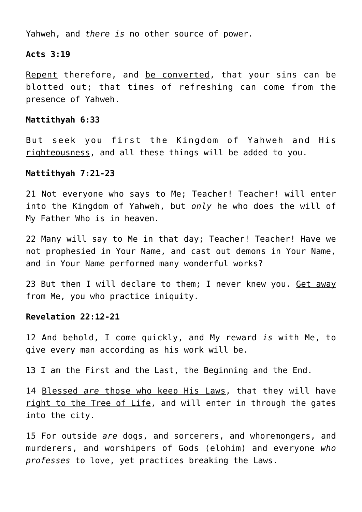Yahweh, and *there is* no other source of power.

## **Acts 3:19**

Repent therefore, and be converted, that your sins can be blotted out; that times of refreshing can come from the presence of Yahweh.

## **Mattithyah 6:33**

But seek you first the Kingdom of Yahweh and His righteousness, and all these things will be added to you.

## **Mattithyah 7:21-23**

21 Not everyone who says to Me; Teacher! Teacher! will enter into the Kingdom of Yahweh, but *only* he who does the will of My Father Who is in heaven.

22 Many will say to Me in that day; Teacher! Teacher! Have we not prophesied in Your Name, and cast out demons in Your Name, and in Your Name performed many wonderful works?

23 But then I will declare to them; I never knew you. Get away from Me, you who practice iniquity.

# **Revelation 22:12-21**

12 And behold, I come quickly, and My reward *is* with Me, to give every man according as his work will be.

13 I am the First and the Last, the Beginning and the End.

14 Blessed *are* those who keep His Laws, that they will have right to the Tree of Life, and will enter in through the gates into the city.

15 For outside *are* dogs, and sorcerers, and whoremongers, and murderers, and worshipers of Gods (elohim) and everyone *who professes* to love, yet practices breaking the Laws.